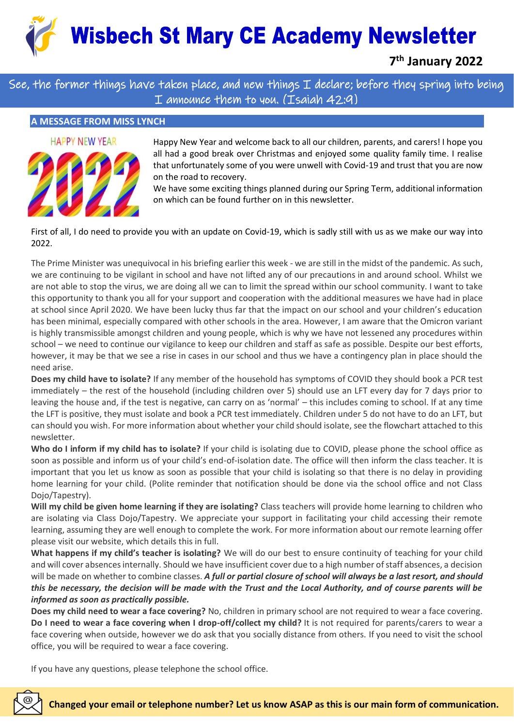**Wisbech St Mary CE Academy Newsletter** 

**7 th January 2022**

See, the former things have taken place, and new things  ${\mathtt T}$  declare; before they spring into being I announce them to you. (Isaiah 42:9)

# **A MESSAGE FROM MISS LYNCH**



Happy New Year and welcome back to all our children, parents, and carers! I hope you all had a good break over Christmas and enjoyed some quality family time. I realise that unfortunately some of you were unwell with Covid-19 and trust that you are now on the road to recovery.

We have some exciting things planned during our Spring Term, additional information on which can be found further on in this newsletter.

First of all, I do need to provide you with an update on Covid-19, which is sadly still with us as we make our way into 2022.

The Prime Minister was unequivocal in his briefing earlier this week - we are still in the midst of the pandemic. As such, we are continuing to be vigilant in school and have not lifted any of our precautions in and around school. Whilst we are not able to stop the virus, we are doing all we can to limit the spread within our school community. I want to take this opportunity to thank you all for your support and cooperation with the additional measures we have had in place at school since April 2020. We have been lucky thus far that the impact on our school and your children's education has been minimal, especially compared with other schools in the area. However, I am aware that the Omicron variant is highly transmissible amongst children and young people, which is why we have not lessened any procedures within school – we need to continue our vigilance to keep our children and staff as safe as possible. Despite our best efforts, however, it may be that we see a rise in cases in our school and thus we have a contingency plan in place should the need arise.

**Does my child have to isolate?** If any member of the household has symptoms of COVID they should book a PCR test immediately – the rest of the household (including children over 5) should use an LFT every day for 7 days prior to leaving the house and, if the test is negative, can carry on as 'normal' – this includes coming to school. If at any time the LFT is positive, they must isolate and book a PCR test immediately. Children under 5 do not have to do an LFT, but can should you wish. For more information about whether your child should isolate, see the flowchart attached to this newsletter.

**Who do I inform if my child has to isolate?** If your child is isolating due to COVID, please phone the school office as soon as possible and inform us of your child's end-of-isolation date. The office will then inform the class teacher. It is important that you let us know as soon as possible that your child is isolating so that there is no delay in providing home learning for your child. (Polite reminder that notification should be done via the school office and not Class Dojo/Tapestry).

**Will my child be given home learning if they are isolating?** Class teachers will provide home learning to children who are isolating via Class Dojo/Tapestry. We appreciate your support in facilitating your child accessing their remote learning, assuming they are well enough to complete the work. For more information about our remote learning offer please visit our website, which details this in full.

**What happens if my child's teacher is isolating?** We will do our best to ensure continuity of teaching for your child and will cover absences internally. Should we have insufficient cover due to a high number of staff absences, a decision will be made on whether to combine classes. *A full or partial closure of school will always be a last resort, and should this be necessary, the decision will be made with the Trust and the Local Authority, and of course parents will be informed as soon as practically possible.*

**Does my child need to wear a face covering?** No, children in primary school are not required to wear a face covering. **Do I need to wear a face covering when I drop-off/collect my child?** It is not required for parents/carers to wear a face covering when outside, however we do ask that you socially distance from others. If you need to visit the school office, you will be required to wear a face covering.

If you have any questions, please telephone the school office.

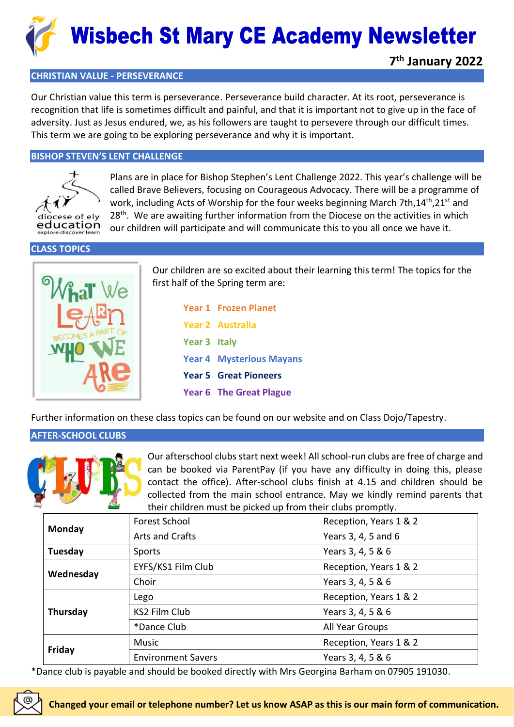

# **CHRISTIAN VALUE - PERSEVERANCE**

Our Christian value this term is perseverance. Perseverance build character. At its root, perseverance is recognition that life is sometimes difficult and painful, and that it is important not to give up in the face of adversity. Just as Jesus endured, we, as his followers are taught to persevere through our difficult times. This term we are going to be exploring perseverance and why it is important.

### **BISHOP STEVEN'S LENT CHALLENGE**



Plans are in place for Bishop Stephen's Lent Challenge 2022. This year's challenge will be called Brave Believers, focusing on Courageous Advocacy. There will be a programme of work, including Acts of Worship for the four weeks beginning March 7th,14<sup>th</sup>,21<sup>st</sup> and 28<sup>th</sup>. We are awaiting further information from the Diocese on the activities in which our children will participate and will communicate this to you all once we have it.

**CLASS TOPICS**



Our children are so excited about their learning this term! The topics for the first half of the Spring term are:

|                     | <b>Year 1 Frozen Planet</b>     |
|---------------------|---------------------------------|
|                     | <b>Year 2 Australia</b>         |
| <b>Year 3 Italy</b> |                                 |
|                     | <b>Year 4 Mysterious Mayans</b> |
|                     | <b>Year 5 Great Pioneers</b>    |
|                     | <b>Year 6 The Great Plague</b>  |

Further information on these class topics can be found on our website and on Class Dojo/Tapestry.

# **AFTER-SCHOOL CLUBS**



Our afterschool clubs start next week! All school-run clubs are free of charge and can be booked via ParentPay (if you have any difficulty in doing this, please contact the office). After-school clubs finish at 4.15 and children should be collected from the main school entrance. May we kindly remind parents that their children must be picked up from their clubs promptly.

| Monday    | Forest School             | Reception, Years 1 & 2 |
|-----------|---------------------------|------------------------|
|           | Arts and Crafts           | Years 3, 4, 5 and 6    |
| Tuesday   | Sports                    | Years 3, 4, 5 & 6      |
| Wednesday | EYFS/KS1 Film Club        | Reception, Years 1 & 2 |
|           | Choir                     | Years 3, 4, 5 & 6      |
| Thursday  | Lego                      | Reception, Years 1 & 2 |
|           | KS2 Film Club             | Years 3, 4, 5 & 6      |
|           | *Dance Club               | All Year Groups        |
| Friday    | <b>Music</b>              | Reception, Years 1 & 2 |
|           | <b>Environment Savers</b> | Years 3, 4, 5 & 6      |

\*Dance club is payable and should be booked directly with Mrs Georgina Barham on 07905 191030.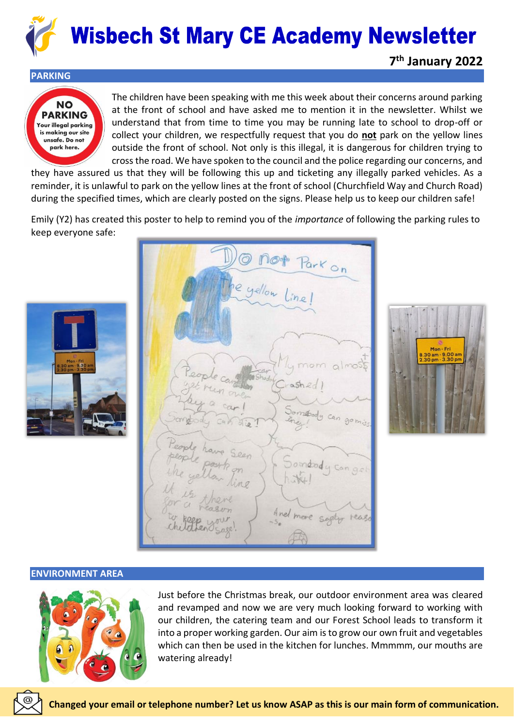

#### **PARKING**



The children have been speaking with me this week about their concerns around parking at the front of school and have asked me to mention it in the newsletter. Whilst we understand that from time to time you may be running late to school to drop-off or collect your children, we respectfully request that you do **not** park on the yellow lines outside the front of school. Not only is this illegal, it is dangerous for children trying to cross the road. We have spoken to the council and the police regarding our concerns, and

they have assured us that they will be following this up and ticketing any illegally parked vehicles. As a reminder, it is unlawful to park on the yellow lines at the front of school (Churchfield Way and Church Road) during the specified times, which are clearly posted on the signs. Please help us to keep our children safe!

Emily (Y2) has created this poster to help to remind you of the *importance* of following the parking rules to keep everyone safe:



e yellow Line !  $a/mosb$ gomin omeod



#### **ENVIRONMENT AREA**



Just before the Christmas break, our outdoor environment area was cleared and revamped and now we are very much looking forward to working with our children, the catering team and our Forest School leads to transform it into a proper working garden. Our aim is to grow our own fruit and vegetables which can then be used in the kitchen for lunches. Mmmmm, our mouths are watering already!

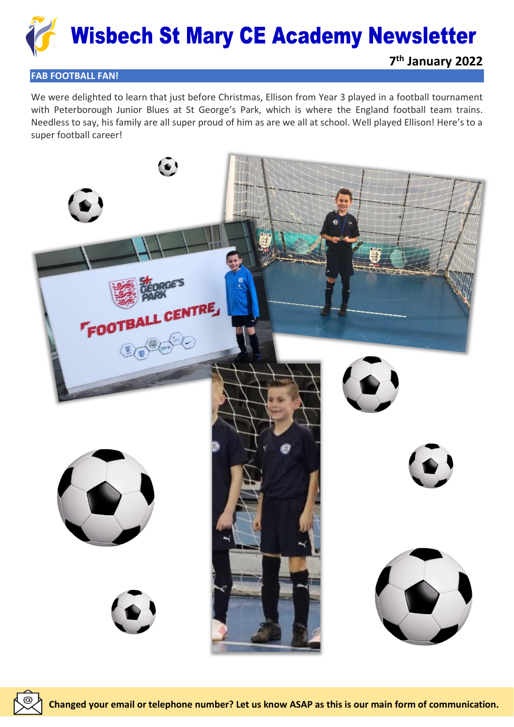

### **FAB FOOTBALL FAN!**

We were delighted to learn that just before Christmas, Ellison from Year 3 played in a football tournament with Peterborough Junior Blues at St George's Park, which is where the England football team trains. Needless to say, his family are all super proud of him as are we all at school. Well played Ellison! Here's to a super football career!



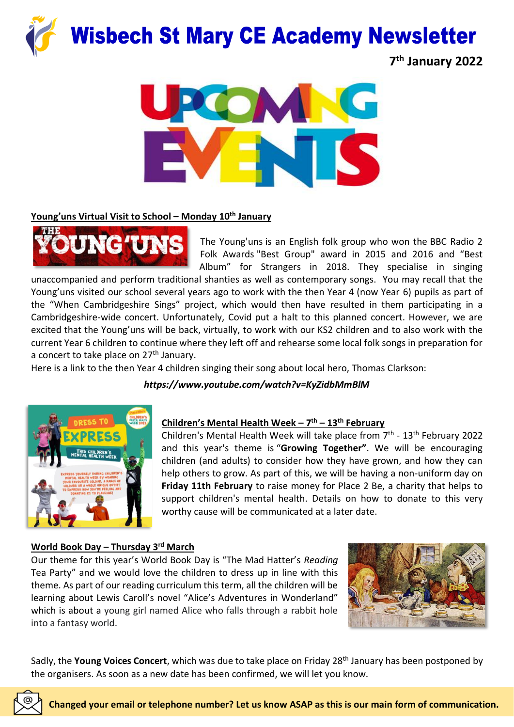

**7 th January 2022**



# **Young'uns Virtual Visit to School – Monday 10th January**



The Young'uns is an English folk group who won the [BBC Radio 2](https://en.wikipedia.org/wiki/BBC_Radio_2_Folk_Awards)  [Folk Awards](https://en.wikipedia.org/wiki/BBC_Radio_2_Folk_Awards) "Best Group" award in 2015 and 2016 and "Best Album" for Strangers in 2018. They specialise in singing

unaccompanied and perform traditional shanties as well as contemporary songs. You may recall that the Young'uns visited our school several years ago to work with the then Year 4 (now Year 6) pupils as part of the "When Cambridgeshire Sings" project, which would then have resulted in them participating in a Cambridgeshire-wide concert. Unfortunately, Covid put a halt to this planned concert. However, we are excited that the Young'uns will be back, virtually, to work with our KS2 children and to also work with the current Year 6 children to continue where they left off and rehearse some local folk songs in preparation for a concert to take place on  $27<sup>th</sup>$  January.

Here is a link to the then Year 4 children singing their song about local hero, Thomas Clarkson:

# *https://www.youtube.com/watch?v=KyZidbMmBlM*



# **Children's Mental Health Week – 7 th – 13th February**

Children's Mental Health Week will take place from 7<sup>th</sup> - 13<sup>th</sup> February 2022 and this year's theme is "**Growing Together"**. We will be encouraging children (and adults) to consider how they have grown, and how they can help others to grow. As part of this, we will be having a non-uniform day on **Friday 11th February** to raise money for Place 2 Be, a charity that helps to support children's mental health. Details on how to donate to this very worthy cause will be communicated at a later date.

# **World Book Day – Thursday 3rd March**

Our theme for this year's World Book Day is "The Mad Hatter's *Reading* Tea Party" and we would love the children to dress up in line with this theme. As part of our reading curriculum this term, all the children will be learning about Lewis Caroll's novel "Alice's Adventures in Wonderland" which is about a young girl named Alice who falls through a rabbit hole into a fantasy world.



Sadly, the **Young Voices Concert**, which was due to take place on Friday 28th January has been postponed by the organisers. As soon as a new date has been confirmed, we will let you know.